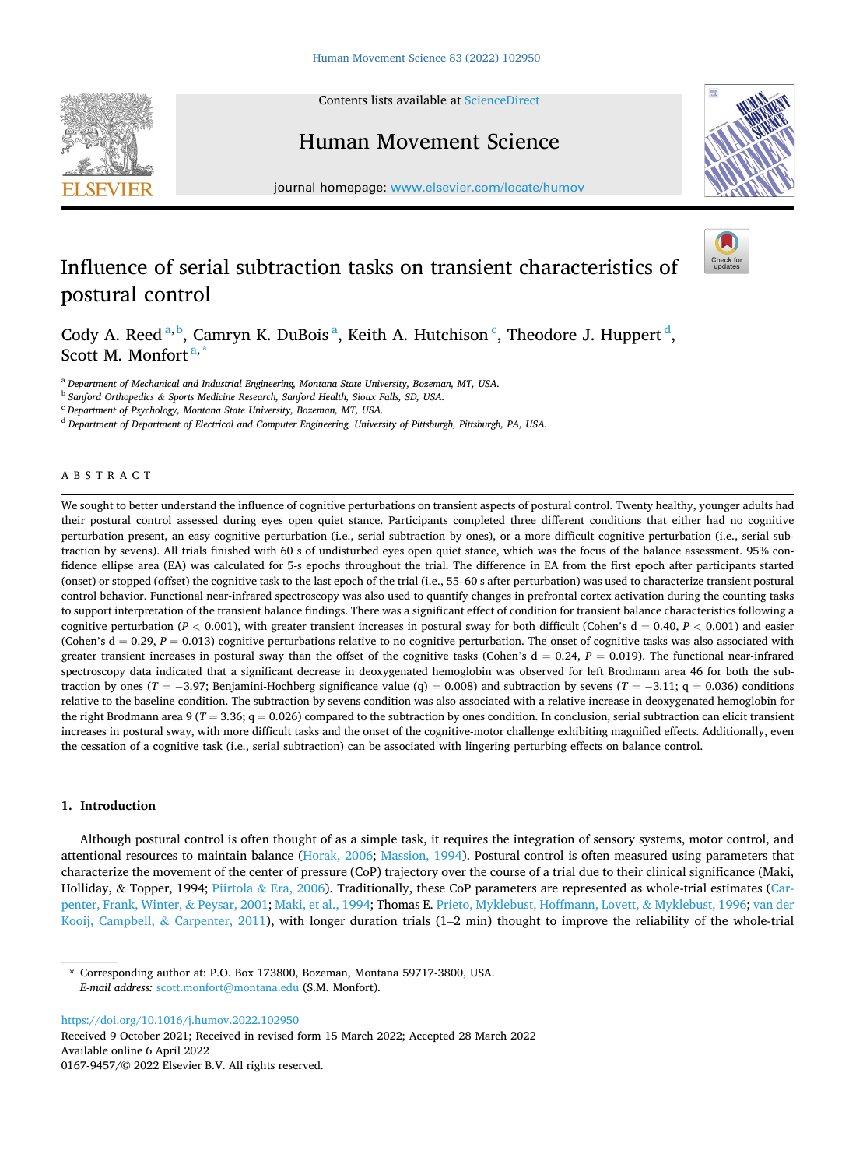Contents lists available at [ScienceDirect](www.sciencedirect.com/science/journal/01679457)







journal homepage: [www.elsevier.com/locate/humov](https://www.elsevier.com/locate/humov) 

# Influence of serial subtraction tasks on transient characteristics of postural control



Cody A. Reed<sup>a, b</sup>, Camryn K. DuBois<sup>a</sup>, Keith A. Hutchison<sup>c</sup>, Theodore J. Huppert<sup>d</sup>, Scott M. Monfort $a^*$ 

<sup>a</sup> *Department of Mechanical and Industrial Engineering, Montana State University, Bozeman, MT, USA.* 

<sup>b</sup> *Sanford Orthopedics & Sports Medicine Research, Sanford Health, Sioux Falls, SD, USA.* 

<sup>c</sup> *Department of Psychology, Montana State University, Bozeman, MT, USA.* 

<sup>d</sup> *Department of Department of Electrical and Computer Engineering, University of Pittsburgh, Pittsburgh, PA, USA.* 

# ABSTRACT

We sought to better understand the influence of cognitive perturbations on transient aspects of postural control. Twenty healthy, younger adults had their postural control assessed during eyes open quiet stance. Participants completed three different conditions that either had no cognitive perturbation present, an easy cognitive perturbation (i.e., serial subtraction by ones), or a more difficult cognitive perturbation (i.e., serial subtraction by sevens). All trials finished with 60 s of undisturbed eyes open quiet stance, which was the focus of the balance assessment. 95% confidence ellipse area (EA) was calculated for 5-s epochs throughout the trial. The difference in EA from the first epoch after participants started (onset) or stopped (offset) the cognitive task to the last epoch of the trial (i.e., 55–60 s after perturbation) was used to characterize transient postural control behavior. Functional near-infrared spectroscopy was also used to quantify changes in prefrontal cortex activation during the counting tasks to support interpretation of the transient balance findings. There was a significant effect of condition for transient balance characteristics following a cognitive perturbation ( $P < 0.001$ ), with greater transient increases in postural sway for both difficult (Cohen's  $d = 0.40$ ,  $P < 0.001$ ) and easier (Cohen's d = 0.29, P = 0.013) cognitive perturbations relative to no cognitive perturbation. The onset of cognitive tasks was also associated with greater transient increases in postural sway than the offset of the cognitive tasks (Cohen's  $d = 0.24$ ,  $P = 0.019$ ). The functional near-infrared spectroscopy data indicated that a significant decrease in deoxygenated hemoglobin was observed for left Brodmann area 46 for both the subtraction by ones ( $T = -3.97$ ; Benjamini-Hochberg significance value (q) = 0.008) and subtraction by sevens ( $T = -3.11$ ; q = 0.036) conditions relative to the baseline condition. The subtraction by sevens condition was also associated with a relative increase in deoxygenated hemoglobin for the right Brodmann area 9 ( $T = 3.36$ ;  $q = 0.026$ ) compared to the subtraction by ones condition. In conclusion, serial subtraction can elicit transient increases in postural sway, with more difficult tasks and the onset of the cognitive-motor challenge exhibiting magnified effects. Additionally, even the cessation of a cognitive task (i.e., serial subtraction) can be associated with lingering perturbing effects on balance control.

# **1. Introduction**

Although postural control is often thought of as a simple task, it requires the integration of sensory systems, motor control, and attentional resources to maintain balance ([Horak, 2006](#page-8-0); [Massion, 1994\)](#page-9-0). Postural control is often measured using parameters that characterize the movement of the center of pressure (CoP) trajectory over the course of a trial due to their clinical significance (Maki, Holliday, & Topper, 1994; Piirtola & [Era, 2006\)](#page-9-0). Traditionally, these CoP parameters are represented as whole-trial estimates ([Car](#page-8-0)[penter, Frank, Winter,](#page-8-0) & Peysar, 2001; [Maki, et al., 1994;](#page-9-0) Thomas E. [Prieto, Myklebust, Hoffmann, Lovett,](#page-9-0) & Myklebust, 1996; [van der](#page-9-0) [Kooij, Campbell,](#page-9-0) & Carpenter, 2011), with longer duration trials (1–2 min) thought to improve the reliability of the whole-trial

Corresponding author at: P.O. Box 173800, Bozeman, Montana 59717-3800, USA. *E-mail address:* [scott.monfort@montana.edu](mailto:scott.monfort@montana.edu) (S.M. Monfort).

<https://doi.org/10.1016/j.humov.2022.102950>

Available online 6 April 2022 0167-9457/© 2022 Elsevier B.V. All rights reserved. Received 9 October 2021; Received in revised form 15 March 2022; Accepted 28 March 2022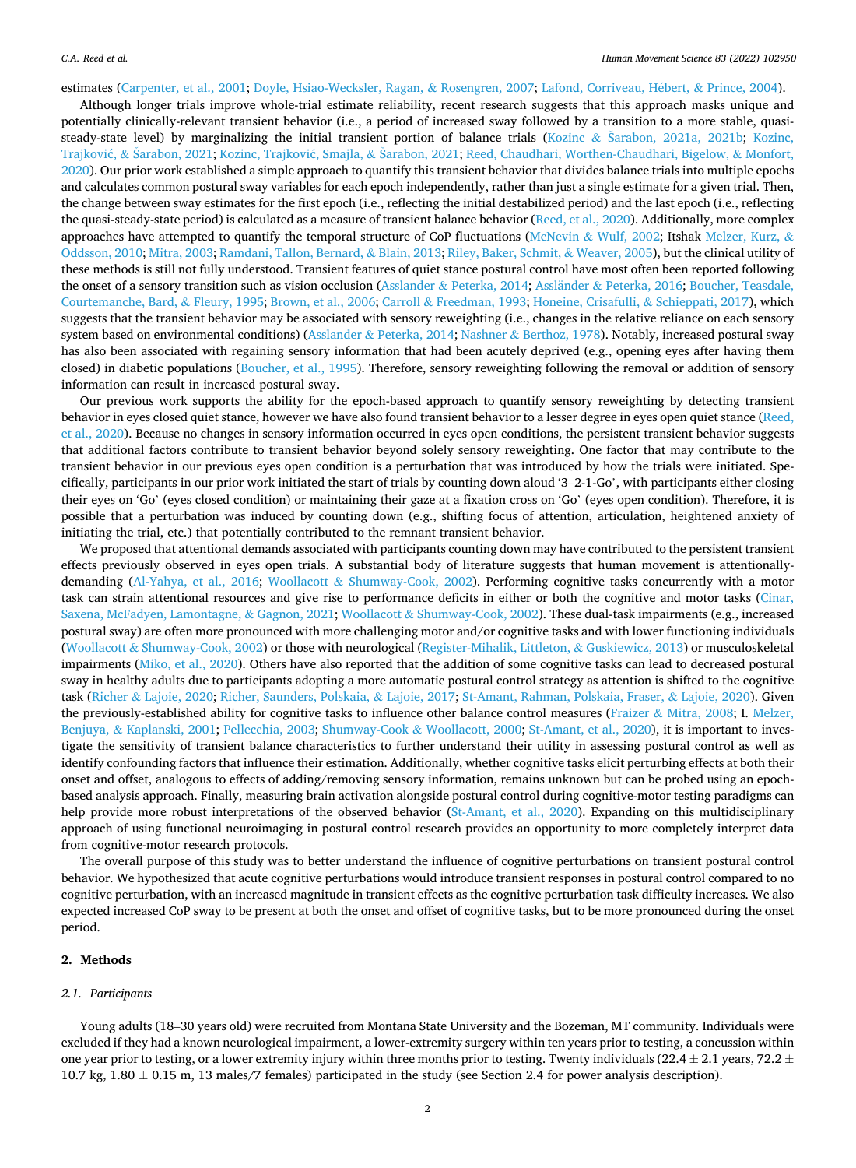estimates [\(Carpenter, et al., 2001; Doyle, Hsiao-Wecksler, Ragan,](#page-8-0) & Rosengren, 2007; [Lafond, Corriveau, H](#page-9-0)ébert, & Prince, 2004).

Although longer trials improve whole-trial estimate reliability, recent research suggests that this approach masks unique and potentially clinically-relevant transient behavior (i.e., a period of increased sway followed by a transition to a more stable, quasi-steady-state level) by marginalizing the initial transient portion of balance trials (Kozinc & Šarabon, [2021a, 2021b;](#page-8-0) [Kozinc,](#page-9-0) Trajković, & [Sarabon,](#page-9-0) 2021; [Kozinc, Trajkovi](#page-9-0)ć, Smajla, & Šarabon, 2021; [Reed, Chaudhari, Worthen-Chaudhari, Bigelow,](#page-9-0) & Monfort, [2020\)](#page-9-0). Our prior work established a simple approach to quantify this transient behavior that divides balance trials into multiple epochs and calculates common postural sway variables for each epoch independently, rather than just a single estimate for a given trial. Then, the change between sway estimates for the first epoch (i.e., reflecting the initial destabilized period) and the last epoch (i.e., reflecting the quasi-steady-state period) is calculated as a measure of transient balance behavior ([Reed, et al., 2020](#page-9-0)). Additionally, more complex approaches have attempted to quantify the temporal structure of CoP fluctuations (McNevin & [Wulf, 2002;](#page-9-0) Itshak [Melzer, Kurz,](#page-9-0) & [Oddsson, 2010; Mitra, 2003; Ramdani, Tallon, Bernard,](#page-9-0) & Blain, 2013; [Riley, Baker, Schmit,](#page-9-0) & Weaver, 2005), but the clinical utility of these methods is still not fully understood. Transient features of quiet stance postural control have most often been reported following the onset of a sensory transition such as vision occlusion (Asslander & [Peterka, 2014](#page-8-0); Assländer & [Peterka, 2016](#page-8-0); [Boucher, Teasdale,](#page-8-0) [Courtemanche, Bard,](#page-8-0) & Fleury, 1995; [Brown, et al., 2006;](#page-8-0) Carroll & [Freedman, 1993; Honeine, Crisafulli,](#page-8-0) & Schieppati, 2017), which suggests that the transient behavior may be associated with sensory reweighting (i.e., changes in the relative reliance on each sensory system based on environmental conditions) (Asslander & [Peterka, 2014](#page-8-0); Nashner & [Berthoz, 1978](#page-9-0)). Notably, increased postural sway has also been associated with regaining sensory information that had been acutely deprived (e.g., opening eyes after having them closed) in diabetic populations [\(Boucher, et al., 1995](#page-8-0)). Therefore, sensory reweighting following the removal or addition of sensory information can result in increased postural sway.

Our previous work supports the ability for the epoch-based approach to quantify sensory reweighting by detecting transient behavior in eyes closed quiet stance, however we have also found transient behavior to a lesser degree in eyes open quiet stance ([Reed,](#page-9-0) [et al., 2020\)](#page-9-0). Because no changes in sensory information occurred in eyes open conditions, the persistent transient behavior suggests that additional factors contribute to transient behavior beyond solely sensory reweighting. One factor that may contribute to the transient behavior in our previous eyes open condition is a perturbation that was introduced by how the trials were initiated. Specifically, participants in our prior work initiated the start of trials by counting down aloud '3–2-1-Go', with participants either closing their eyes on 'Go' (eyes closed condition) or maintaining their gaze at a fixation cross on 'Go' (eyes open condition). Therefore, it is possible that a perturbation was induced by counting down (e.g., shifting focus of attention, articulation, heightened anxiety of initiating the trial, etc.) that potentially contributed to the remnant transient behavior.

We proposed that attentional demands associated with participants counting down may have contributed to the persistent transient effects previously observed in eyes open trials. A substantial body of literature suggests that human movement is attentionally-demanding ([Al-Yahya, et al., 2016;](#page-8-0) Woollacott & [Shumway-Cook, 2002\)](#page-9-0). Performing cognitive tasks concurrently with a motor task can strain attentional resources and give rise to performance deficits in either or both the cognitive and motor tasks ([Cinar,](#page-8-0) [Saxena, McFadyen, Lamontagne,](#page-8-0) & Gagnon, 2021; Woollacott & [Shumway-Cook, 2002\)](#page-9-0). These dual-task impairments (e.g., increased postural sway) are often more pronounced with more challenging motor and/or cognitive tasks and with lower functioning individuals (Woollacott & [Shumway-Cook, 2002](#page-9-0)) or those with neurological ([Register-Mihalik, Littleton,](#page-9-0) & Guskiewicz, 2013) or musculoskeletal impairments ([Miko, et al., 2020](#page-9-0)). Others have also reported that the addition of some cognitive tasks can lead to decreased postural sway in healthy adults due to participants adopting a more automatic postural control strategy as attention is shifted to the cognitive task (Richer & [Lajoie, 2020; Richer, Saunders, Polskaia,](#page-9-0) & Lajoie, 2017; [St-Amant, Rahman, Polskaia, Fraser,](#page-9-0) & Lajoie, 2020). Given the previously-established ability for cognitive tasks to influence other balance control measures (Fraizer & [Mitra, 2008;](#page-8-0) I. [Melzer,](#page-9-0) Benjuya, & [Kaplanski, 2001; Pellecchia, 2003](#page-9-0); Shumway-Cook & [Woollacott, 2000](#page-9-0); [St-Amant, et al., 2020](#page-9-0)), it is important to investigate the sensitivity of transient balance characteristics to further understand their utility in assessing postural control as well as identify confounding factors that influence their estimation. Additionally, whether cognitive tasks elicit perturbing effects at both their onset and offset, analogous to effects of adding/removing sensory information, remains unknown but can be probed using an epochbased analysis approach. Finally, measuring brain activation alongside postural control during cognitive-motor testing paradigms can help provide more robust interpretations of the observed behavior [\(St-Amant, et al., 2020\)](#page-9-0). Expanding on this multidisciplinary approach of using functional neuroimaging in postural control research provides an opportunity to more completely interpret data from cognitive-motor research protocols.

The overall purpose of this study was to better understand the influence of cognitive perturbations on transient postural control behavior. We hypothesized that acute cognitive perturbations would introduce transient responses in postural control compared to no cognitive perturbation, with an increased magnitude in transient effects as the cognitive perturbation task difficulty increases. We also expected increased CoP sway to be present at both the onset and offset of cognitive tasks, but to be more pronounced during the onset period.

# **2. Methods**

## *2.1. Participants*

Young adults (18–30 years old) were recruited from Montana State University and the Bozeman, MT community. Individuals were excluded if they had a known neurological impairment, a lower-extremity surgery within ten years prior to testing, a concussion within one year prior to testing, or a lower extremity injury within three months prior to testing. Twenty individuals (22.4  $\pm$  2.1 years, 72.2  $\pm$ 10.7 kg,  $1.80 \pm 0.15$  m, 13 males/7 females) participated in the study (see Section 2.4 for power analysis description).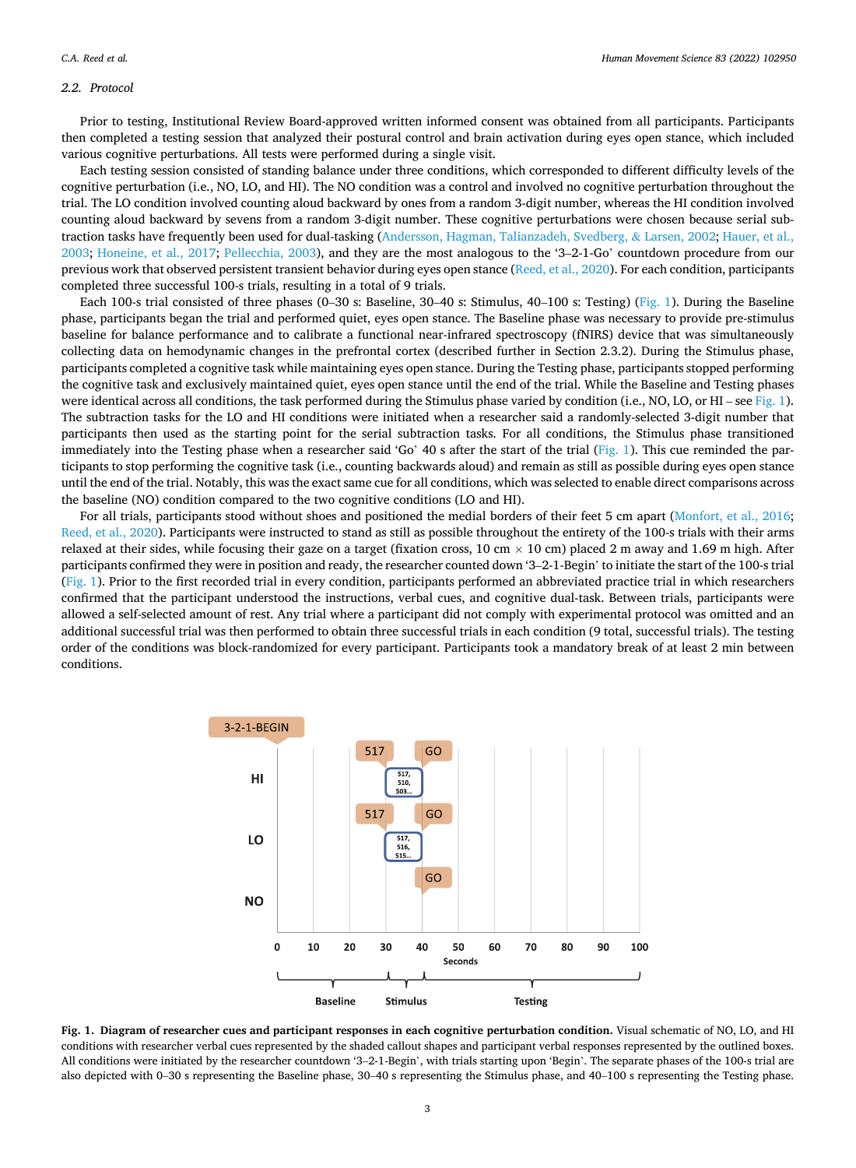## *2.2. Protocol*

Prior to testing, Institutional Review Board-approved written informed consent was obtained from all participants. Participants then completed a testing session that analyzed their postural control and brain activation during eyes open stance, which included various cognitive perturbations. All tests were performed during a single visit.

Each testing session consisted of standing balance under three conditions, which corresponded to different difficulty levels of the cognitive perturbation (i.e., NO, LO, and HI). The NO condition was a control and involved no cognitive perturbation throughout the trial. The LO condition involved counting aloud backward by ones from a random 3-digit number, whereas the HI condition involved counting aloud backward by sevens from a random 3-digit number. These cognitive perturbations were chosen because serial subtraction tasks have frequently been used for dual-tasking [\(Andersson, Hagman, Talianzadeh, Svedberg,](#page-8-0) & Larsen, 2002; [Hauer, et al.,](#page-8-0) [2003;](#page-8-0) [Honeine, et al., 2017;](#page-8-0) [Pellecchia, 2003](#page-9-0)), and they are the most analogous to the '3–2-1-Go' countdown procedure from our previous work that observed persistent transient behavior during eyes open stance ([Reed, et al., 2020\)](#page-9-0). For each condition, participants completed three successful 100-s trials, resulting in a total of 9 trials.

Each 100-s trial consisted of three phases (0–30 s: Baseline, 30–40 s: Stimulus, 40–100 s: Testing) (Fig. 1). During the Baseline phase, participants began the trial and performed quiet, eyes open stance. The Baseline phase was necessary to provide pre-stimulus baseline for balance performance and to calibrate a functional near-infrared spectroscopy (fNIRS) device that was simultaneously collecting data on hemodynamic changes in the prefrontal cortex (described further in Section 2.3.2). During the Stimulus phase, participants completed a cognitive task while maintaining eyes open stance. During the Testing phase, participants stopped performing the cognitive task and exclusively maintained quiet, eyes open stance until the end of the trial. While the Baseline and Testing phases were identical across all conditions, the task performed during the Stimulus phase varied by condition (i.e., NO, LO, or HI – see Fig. 1). The subtraction tasks for the LO and HI conditions were initiated when a researcher said a randomly-selected 3-digit number that participants then used as the starting point for the serial subtraction tasks. For all conditions, the Stimulus phase transitioned immediately into the Testing phase when a researcher said 'Go' 40 s after the start of the trial (Fig. 1). This cue reminded the participants to stop performing the cognitive task (i.e., counting backwards aloud) and remain as still as possible during eyes open stance until the end of the trial. Notably, this was the exact same cue for all conditions, which was selected to enable direct comparisons across the baseline (NO) condition compared to the two cognitive conditions (LO and HI).

For all trials, participants stood without shoes and positioned the medial borders of their feet 5 cm apart [\(Monfort, et al., 2016](#page-9-0); [Reed, et al., 2020\)](#page-9-0). Participants were instructed to stand as still as possible throughout the entirety of the 100-s trials with their arms relaxed at their sides, while focusing their gaze on a target (fixation cross, 10 cm  $\times$  10 cm) placed 2 m away and 1.69 m high. After participants confirmed they were in position and ready, the researcher counted down '3–2-1-Begin' to initiate the start of the 100-s trial (Fig. 1). Prior to the first recorded trial in every condition, participants performed an abbreviated practice trial in which researchers confirmed that the participant understood the instructions, verbal cues, and cognitive dual-task. Between trials, participants were allowed a self-selected amount of rest. Any trial where a participant did not comply with experimental protocol was omitted and an additional successful trial was then performed to obtain three successful trials in each condition (9 total, successful trials). The testing order of the conditions was block-randomized for every participant. Participants took a mandatory break of at least 2 min between conditions.



**Fig. 1. Diagram of researcher cues and participant responses in each cognitive perturbation condition.** Visual schematic of NO, LO, and HI conditions with researcher verbal cues represented by the shaded callout shapes and participant verbal responses represented by the outlined boxes. All conditions were initiated by the researcher countdown '3–2-1-Begin', with trials starting upon 'Begin'. The separate phases of the 100-s trial are also depicted with 0–30 s representing the Baseline phase, 30–40 s representing the Stimulus phase, and 40–100 s representing the Testing phase.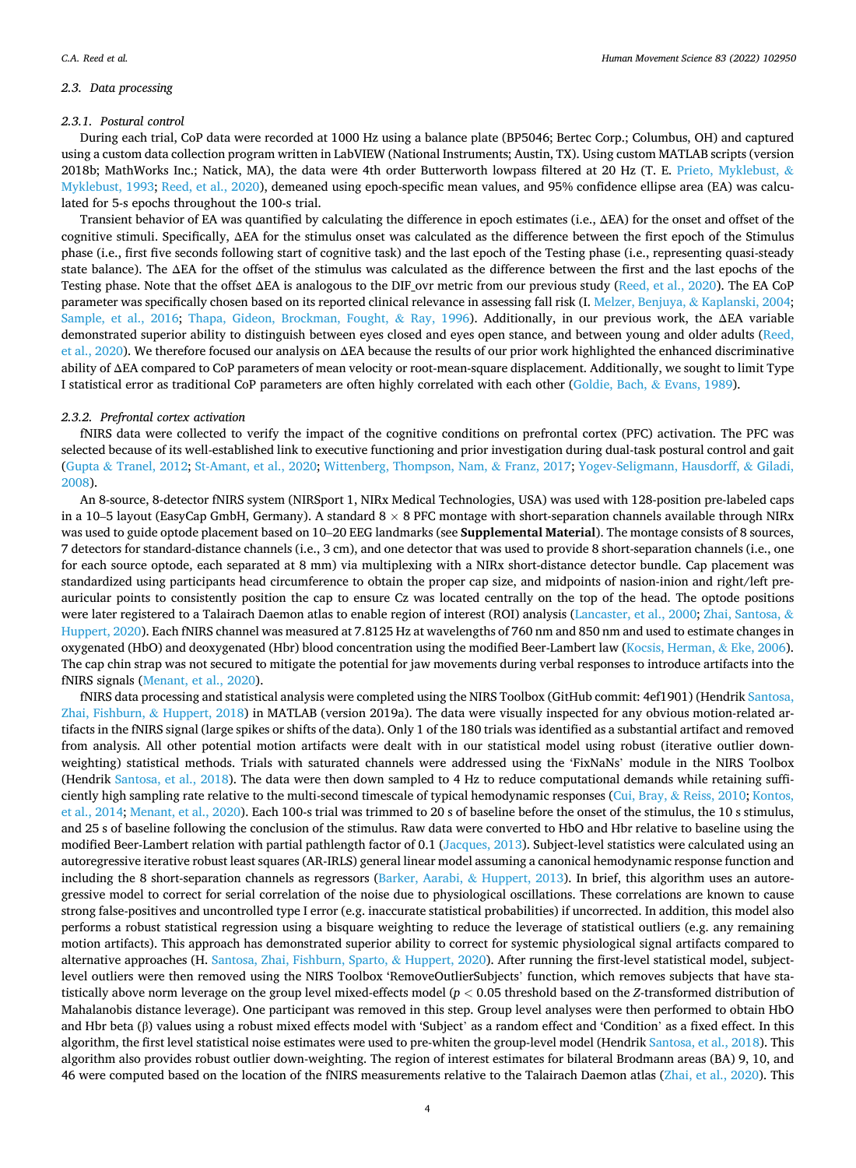## *2.3. Data processing*

## *2.3.1. Postural control*

During each trial, CoP data were recorded at 1000 Hz using a balance plate (BP5046; Bertec Corp.; Columbus, OH) and captured using a custom data collection program written in LabVIEW (National Instruments; Austin, TX). Using custom MATLAB scripts (version 2018b; MathWorks Inc.; Natick, MA), the data were 4th order Butterworth lowpass filtered at 20 Hz (T. E. [Prieto, Myklebust,](#page-9-0) & [Myklebust, 1993](#page-9-0); [Reed, et al., 2020](#page-9-0)), demeaned using epoch-specific mean values, and 95% confidence ellipse area (EA) was calculated for 5-s epochs throughout the 100-s trial.

Transient behavior of EA was quantified by calculating the difference in epoch estimates (i.e., ΔEA) for the onset and offset of the cognitive stimuli. Specifically, ΔEA for the stimulus onset was calculated as the difference between the first epoch of the Stimulus phase (i.e., first five seconds following start of cognitive task) and the last epoch of the Testing phase (i.e., representing quasi-steady state balance). The ΔEA for the offset of the stimulus was calculated as the difference between the first and the last epochs of the Testing phase. Note that the offset ΔEA is analogous to the DIF\_ovr metric from our previous study ([Reed, et al., 2020\)](#page-9-0). The EA CoP parameter was specifically chosen based on its reported clinical relevance in assessing fall risk (I. [Melzer, Benjuya,](#page-9-0) & Kaplanski, 2004; [Sample, et al., 2016;](#page-9-0) [Thapa, Gideon, Brockman, Fought,](#page-9-0) & Ray, 1996). Additionally, in our previous work, the ΔEA variable demonstrated superior ability to distinguish between eyes closed and eyes open stance, and between young and older adults ([Reed,](#page-9-0) [et al., 2020](#page-9-0)). We therefore focused our analysis on ΔEA because the results of our prior work highlighted the enhanced discriminative ability of ΔEA compared to CoP parameters of mean velocity or root-mean-square displacement. Additionally, we sought to limit Type I statistical error as traditional CoP parameters are often highly correlated with each other ([Goldie, Bach,](#page-8-0) & Evans, 1989).

## *2.3.2. Prefrontal cortex activation*

fNIRS data were collected to verify the impact of the cognitive conditions on prefrontal cortex (PFC) activation. The PFC was selected because of its well-established link to executive functioning and prior investigation during dual-task postural control and gait (Gupta & [Tranel, 2012](#page-8-0); [St-Amant, et al., 2020; Wittenberg, Thompson, Nam,](#page-9-0) & Franz, 2017; [Yogev-Seligmann, Hausdorff,](#page-9-0) & Giladi, [2008\)](#page-9-0).

An 8-source, 8-detector fNIRS system (NIRSport 1, NIRx Medical Technologies, USA) was used with 128-position pre-labeled caps in a 10–5 layout (EasyCap GmbH, Germany). A standard  $8 \times 8$  PFC montage with short-separation channels available through NIRx was used to guide optode placement based on 10–20 EEG landmarks (see **Supplemental Material**). The montage consists of 8 sources, 7 detectors for standard-distance channels (i.e., 3 cm), and one detector that was used to provide 8 short-separation channels (i.e., one for each source optode, each separated at 8 mm) via multiplexing with a NIRx short-distance detector bundle. Cap placement was standardized using participants head circumference to obtain the proper cap size, and midpoints of nasion-inion and right/left preauricular points to consistently position the cap to ensure Cz was located centrally on the top of the head. The optode positions were later registered to a Talairach Daemon atlas to enable region of interest (ROI) analysis ([Lancaster, et al., 2000](#page-9-0); [Zhai, Santosa,](#page-9-0) & [Huppert, 2020\)](#page-9-0). Each fNIRS channel was measured at 7.8125 Hz at wavelengths of 760 nm and 850 nm and used to estimate changes in oxygenated (HbO) and deoxygenated (Hbr) blood concentration using the modified Beer-Lambert law ([Kocsis, Herman,](#page-8-0) & Eke, 2006). The cap chin strap was not secured to mitigate the potential for jaw movements during verbal responses to introduce artifacts into the fNIRS signals ([Menant, et al., 2020](#page-9-0)).

fNIRS data processing and statistical analysis were completed using the NIRS Toolbox (GitHub commit: 4ef1901) (Hendrik [Santosa,](#page-9-0) [Zhai, Fishburn,](#page-9-0) & Huppert, 2018) in MATLAB (version 2019a). The data were visually inspected for any obvious motion-related artifacts in the fNIRS signal (large spikes or shifts of the data). Only 1 of the 180 trials was identified as a substantial artifact and removed from analysis. All other potential motion artifacts were dealt with in our statistical model using robust (iterative outlier downweighting) statistical methods. Trials with saturated channels were addressed using the 'FixNaNs' module in the NIRS Toolbox (Hendrik [Santosa, et al., 2018](#page-9-0)). The data were then down sampled to 4 Hz to reduce computational demands while retaining sufficiently high sampling rate relative to the multi-second timescale of typical hemodynamic responses (Cui, Bray, & [Reiss, 2010; Kontos,](#page-8-0) [et al., 2014](#page-8-0); [Menant, et al., 2020](#page-9-0)). Each 100-s trial was trimmed to 20 s of baseline before the onset of the stimulus, the 10 s stimulus, and 25 s of baseline following the conclusion of the stimulus. Raw data were converted to HbO and Hbr relative to baseline using the modified Beer-Lambert relation with partial pathlength factor of 0.1 [\(Jacques, 2013](#page-8-0)). Subject-level statistics were calculated using an autoregressive iterative robust least squares (AR-IRLS) general linear model assuming a canonical hemodynamic response function and including the 8 short-separation channels as regressors ([Barker, Aarabi,](#page-8-0) & Huppert, 2013). In brief, this algorithm uses an autoregressive model to correct for serial correlation of the noise due to physiological oscillations. These correlations are known to cause strong false-positives and uncontrolled type I error (e.g. inaccurate statistical probabilities) if uncorrected. In addition, this model also performs a robust statistical regression using a bisquare weighting to reduce the leverage of statistical outliers (e.g. any remaining motion artifacts). This approach has demonstrated superior ability to correct for systemic physiological signal artifacts compared to alternative approaches (H. [Santosa, Zhai, Fishburn, Sparto,](#page-9-0) & Huppert, 2020). After running the first-level statistical model, subjectlevel outliers were then removed using the NIRS Toolbox 'RemoveOutlierSubjects' function, which removes subjects that have statistically above norm leverage on the group level mixed-effects model (*p <* 0.05 threshold based on the *Z*-transformed distribution of Mahalanobis distance leverage). One participant was removed in this step. Group level analyses were then performed to obtain HbO and Hbr beta (β) values using a robust mixed effects model with 'Subject' as a random effect and 'Condition' as a fixed effect. In this algorithm, the first level statistical noise estimates were used to pre-whiten the group-level model (Hendrik [Santosa, et al., 2018](#page-9-0)). This algorithm also provides robust outlier down-weighting. The region of interest estimates for bilateral Brodmann areas (BA) 9, 10, and 46 were computed based on the location of the fNIRS measurements relative to the Talairach Daemon atlas ([Zhai, et al., 2020\)](#page-9-0). This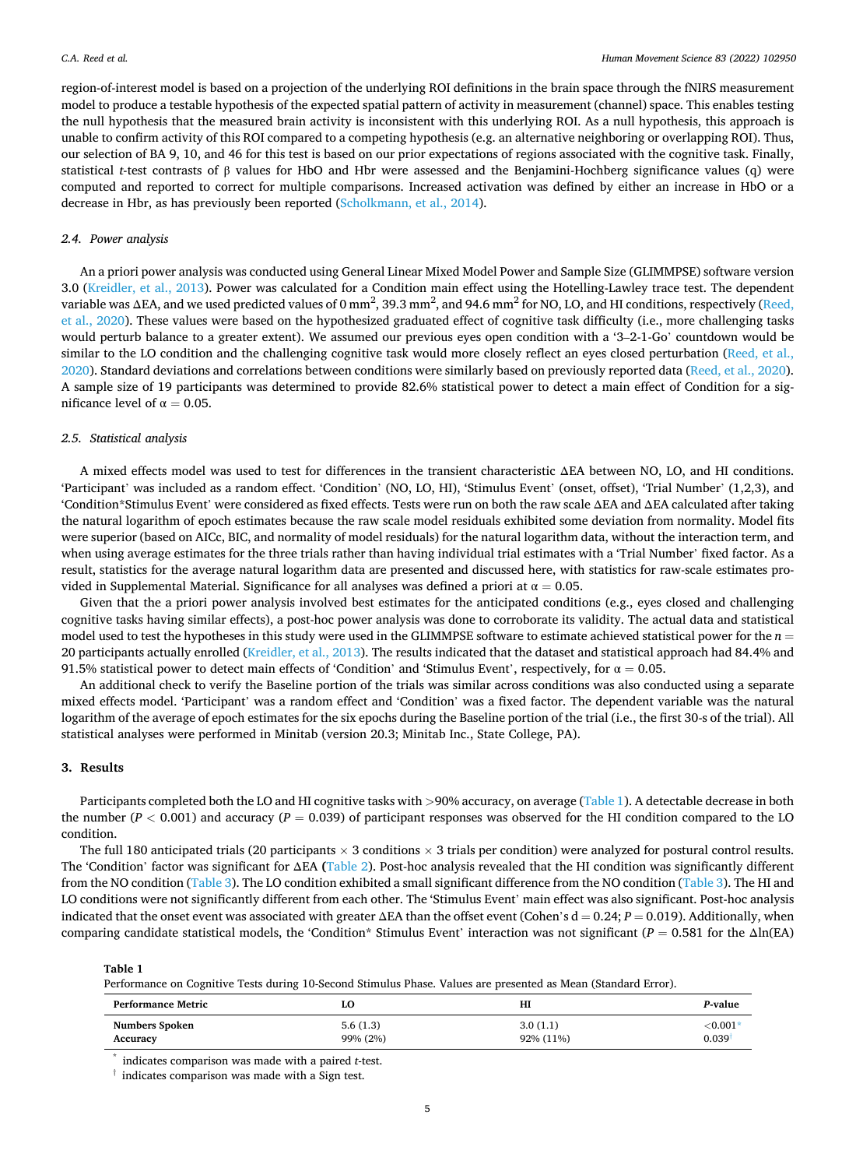region-of-interest model is based on a projection of the underlying ROI definitions in the brain space through the fNIRS measurement model to produce a testable hypothesis of the expected spatial pattern of activity in measurement (channel) space. This enables testing the null hypothesis that the measured brain activity is inconsistent with this underlying ROI. As a null hypothesis, this approach is unable to confirm activity of this ROI compared to a competing hypothesis (e.g. an alternative neighboring or overlapping ROI). Thus, our selection of BA 9, 10, and 46 for this test is based on our prior expectations of regions associated with the cognitive task. Finally, statistical *t*-test contrasts of β values for HbO and Hbr were assessed and the Benjamini-Hochberg significance values (q) were computed and reported to correct for multiple comparisons. Increased activation was defined by either an increase in HbO or a decrease in Hbr, as has previously been reported ([Scholkmann, et al., 2014\)](#page-9-0).

## *2.4. Power analysis*

An a priori power analysis was conducted using General Linear Mixed Model Power and Sample Size (GLIMMPSE) software version 3.0 ([Kreidler, et al., 2013\)](#page-9-0). Power was calculated for a Condition main effect using the Hotelling-Lawley trace test. The dependent variable was  $\Delta$ EA, and we used predicted values of 0 mm<sup>2</sup>, 39.3 mm<sup>2</sup>, and 94.6 mm<sup>2</sup> for NO, LO, and HI conditions, respectively ([Reed,](#page-9-0) [et al., 2020](#page-9-0)). These values were based on the hypothesized graduated effect of cognitive task difficulty (i.e., more challenging tasks would perturb balance to a greater extent). We assumed our previous eyes open condition with a '3–2-1-Go' countdown would be similar to the LO condition and the challenging cognitive task would more closely reflect an eyes closed perturbation ([Reed, et al.,](#page-9-0) [2020\)](#page-9-0). Standard deviations and correlations between conditions were similarly based on previously reported data [\(Reed, et al., 2020](#page-9-0)). A sample size of 19 participants was determined to provide 82.6% statistical power to detect a main effect of Condition for a significance level of  $\alpha = 0.05$ .

#### *2.5. Statistical analysis*

A mixed effects model was used to test for differences in the transient characteristic ΔEA between NO, LO, and HI conditions. 'Participant' was included as a random effect. 'Condition' (NO, LO, HI), 'Stimulus Event' (onset, offset), 'Trial Number' (1,2,3), and 'Condition\*Stimulus Event' were considered as fixed effects. Tests were run on both the raw scale ΔEA and ΔEA calculated after taking the natural logarithm of epoch estimates because the raw scale model residuals exhibited some deviation from normality. Model fits were superior (based on AICc, BIC, and normality of model residuals) for the natural logarithm data, without the interaction term, and when using average estimates for the three trials rather than having individual trial estimates with a 'Trial Number' fixed factor. As a result, statistics for the average natural logarithm data are presented and discussed here, with statistics for raw-scale estimates provided in Supplemental Material. Significance for all analyses was defined a priori at  $\alpha = 0.05$ .

Given that the a priori power analysis involved best estimates for the anticipated conditions (e.g., eyes closed and challenging cognitive tasks having similar effects), a post-hoc power analysis was done to corroborate its validity. The actual data and statistical model used to test the hypotheses in this study were used in the GLIMMPSE software to estimate achieved statistical power for the  $n =$ 20 participants actually enrolled ([Kreidler, et al., 2013](#page-9-0)). The results indicated that the dataset and statistical approach had 84.4% and 91.5% statistical power to detect main effects of 'Condition' and 'Stimulus Event', respectively, for  $\alpha = 0.05$ .

An additional check to verify the Baseline portion of the trials was similar across conditions was also conducted using a separate mixed effects model. 'Participant' was a random effect and 'Condition' was a fixed factor. The dependent variable was the natural logarithm of the average of epoch estimates for the six epochs during the Baseline portion of the trial (i.e., the first 30-s of the trial). All statistical analyses were performed in Minitab (version 20.3; Minitab Inc., State College, PA).

# **3. Results**

Participants completed both the LO and HI cognitive tasks with *>*90% accuracy, on average (Table 1). A detectable decrease in both the number ( $P < 0.001$ ) and accuracy ( $P = 0.039$ ) of participant responses was observed for the HI condition compared to the LO condition.

The full 180 anticipated trials (20 participants  $\times$  3 conditions  $\times$  3 trials per condition) were analyzed for postural control results. The 'Condition' factor was significant for ΔEA **(**[Table 2](#page-5-0)). Post-hoc analysis revealed that the HI condition was significantly different from the NO condition ([Table 3](#page-5-0)). The LO condition exhibited a small significant difference from the NO condition [\(Table 3](#page-5-0)). The HI and LO conditions were not significantly different from each other. The 'Stimulus Event' main effect was also significant. Post-hoc analysis indicated that the onset event was associated with greater ΔEA than the offset event (Cohen's d = 0.24; P = 0.019). Additionally, when comparing candidate statistical models, the 'Condition\* Stimulus Event' interaction was not significant (*P* = 0.581 for the Δln(EA)

#### **Table 1**

Performance on Cognitive Tests during 10-Second Stimulus Phase. Values are presented as Mean (Standard Error).

| <b>Performance Metric</b> | LO       | HI        | P-value      |
|---------------------------|----------|-----------|--------------|
| <b>Numbers Spoken</b>     | 5.6(1.3) | 3.0(1.1)  | ${<}0.001^*$ |
| Accuracy                  | 99% (2%) | 92% (11%) | 0.039        |

\* indicates comparison was made with a paired *t*-test.

† indicates comparison was made with a Sign test.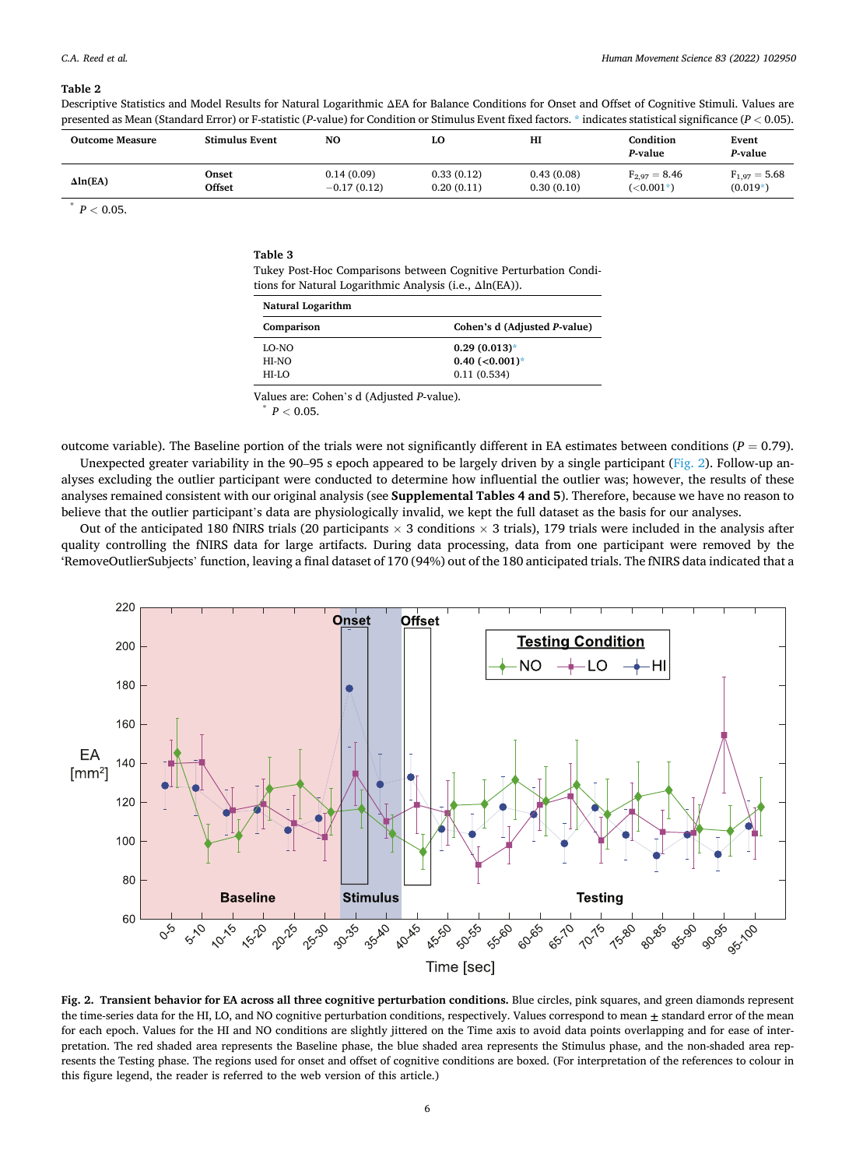#### <span id="page-5-0"></span>**Table 2**

Descriptive Statistics and Model Results for Natural Logarithmic ΔEA for Balance Conditions for Onset and Offset of Cognitive Stimuli. Values are presented as Mean (Standard Error) or F-statistic (*P*-value) for Condition or Stimulus Event fixed factors. \* indicates statistical significance (*P <* 0.05).

| <b>Outcome Measure</b> | <b>Stimulus Event</b> | N <sub>O</sub> | LO         | н          | Condition<br>P-value | Event<br>P-value  |
|------------------------|-----------------------|----------------|------------|------------|----------------------|-------------------|
| $\Delta ln(EA)$        | Onset                 | 0.14(0.09)     | 0.33(0.12) | 0.43(0.08) | $F_{2.97} = 8.46$    | $F_{1.97} = 5.68$ |
|                        | Offset                | $-0.17(0.12)$  | 0.20(0.11) | 0.30(0.10) | $(<0.001*)$          | $(0.019*)$        |

 $P < 0.05$ .

| Table 3                                                           |
|-------------------------------------------------------------------|
| Tukey Post-Hoc Comparisons between Cognitive Perturbation Condi-  |
| tions for Natural Logarithmic Analysis (i.e., $\Delta \ln(EA)$ ). |

| Natural Logarithm |                              |  |  |  |
|-------------------|------------------------------|--|--|--|
| Comparison        | Cohen's d (Adjusted P-value) |  |  |  |
| LO-NO             | $0.29(0.013)$ *              |  |  |  |
| HI-NO             | $0.40$ (<0.001)*             |  |  |  |
| HI-LO             | 0.11(0.534)                  |  |  |  |

Values are: Cohen's d (Adjusted *P*-value). \* *<sup>P</sup><sup>&</sup>lt;* 0.05.

outcome variable). The Baseline portion of the trials were not significantly different in EA estimates between conditions (*P* = 0.79). Unexpected greater variability in the 90–95 s epoch appeared to be largely driven by a single participant (Fig. 2). Follow-up analyses excluding the outlier participant were conducted to determine how influential the outlier was; however, the results of these analyses remained consistent with our original analysis (see **Supplemental Tables 4 and 5**). Therefore, because we have no reason to believe that the outlier participant's data are physiologically invalid, we kept the full dataset as the basis for our analyses.

Out of the anticipated 180 fNIRS trials (20 participants  $\times$  3 conditions  $\times$  3 trials), 179 trials were included in the analysis after quality controlling the fNIRS data for large artifacts. During data processing, data from one participant were removed by the 'RemoveOutlierSubjects' function, leaving a final dataset of 170 (94%) out of the 180 anticipated trials. The fNIRS data indicated that a



**Fig. 2. Transient behavior for EA across all three cognitive perturbation conditions.** Blue circles, pink squares, and green diamonds represent the time-series data for the HI, LO, and NO cognitive perturbation conditions, respectively. Values correspond to mean **±** standard error of the mean for each epoch. Values for the HI and NO conditions are slightly jittered on the Time axis to avoid data points overlapping and for ease of interpretation. The red shaded area represents the Baseline phase, the blue shaded area represents the Stimulus phase, and the non-shaded area represents the Testing phase. The regions used for onset and offset of cognitive conditions are boxed. (For interpretation of the references to colour in this figure legend, the reader is referred to the web version of this article.)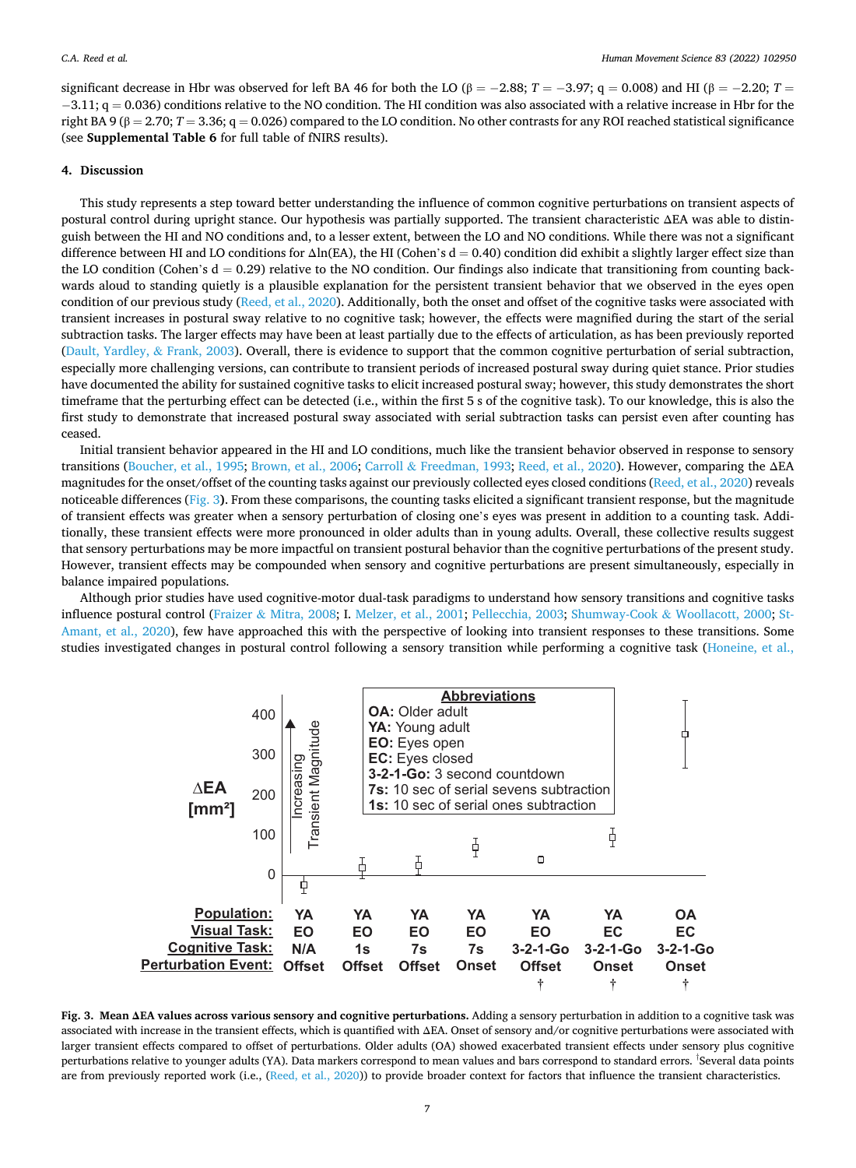<span id="page-6-0"></span>significant decrease in Hbr was observed for left BA 46 for both the LO ( $\beta = -2.88$ ;  $T = -3.97$ ; q = 0.008) and HI ( $\beta = -2.20$ ;  $T =$  $-3.11$ ; q = 0.036) conditions relative to the NO condition. The HI condition was also associated with a relative increase in Hbr for the right BA 9 ( $\beta = 2.70$ ;  $T = 3.36$ ;  $q = 0.026$ ) compared to the LO condition. No other contrasts for any ROI reached statistical significance (see **Supplemental Table 6** for full table of fNIRS results).

# **4. Discussion**

This study represents a step toward better understanding the influence of common cognitive perturbations on transient aspects of postural control during upright stance. Our hypothesis was partially supported. The transient characteristic ΔEA was able to distinguish between the HI and NO conditions and, to a lesser extent, between the LO and NO conditions. While there was not a significant difference between HI and LO conditions for  $\Delta \ln(\text{EA})$ , the HI (Cohen's d = 0.40) condition did exhibit a slightly larger effect size than the LO condition (Cohen's  $d = 0.29$ ) relative to the NO condition. Our findings also indicate that transitioning from counting backwards aloud to standing quietly is a plausible explanation for the persistent transient behavior that we observed in the eyes open condition of our previous study [\(Reed, et al., 2020\)](#page-9-0). Additionally, both the onset and offset of the cognitive tasks were associated with transient increases in postural sway relative to no cognitive task; however, the effects were magnified during the start of the serial subtraction tasks. The larger effects may have been at least partially due to the effects of articulation, as has been previously reported [\(Dault, Yardley,](#page-8-0) & Frank, 2003). Overall, there is evidence to support that the common cognitive perturbation of serial subtraction, especially more challenging versions, can contribute to transient periods of increased postural sway during quiet stance. Prior studies have documented the ability for sustained cognitive tasks to elicit increased postural sway; however, this study demonstrates the short timeframe that the perturbing effect can be detected (i.e., within the first 5 s of the cognitive task). To our knowledge, this is also the first study to demonstrate that increased postural sway associated with serial subtraction tasks can persist even after counting has ceased.

Initial transient behavior appeared in the HI and LO conditions, much like the transient behavior observed in response to sensory transitions ([Boucher, et al., 1995](#page-8-0); [Brown, et al., 2006;](#page-8-0) Carroll & [Freedman, 1993](#page-8-0); [Reed, et al., 2020](#page-9-0)). However, comparing the ΔEA magnitudes for the onset/offset of the counting tasks against our previously collected eyes closed conditions ([Reed, et al., 2020\)](#page-9-0) reveals noticeable differences (Fig. 3**)**. From these comparisons, the counting tasks elicited a significant transient response, but the magnitude of transient effects was greater when a sensory perturbation of closing one's eyes was present in addition to a counting task. Additionally, these transient effects were more pronounced in older adults than in young adults. Overall, these collective results suggest that sensory perturbations may be more impactful on transient postural behavior than the cognitive perturbations of the present study. However, transient effects may be compounded when sensory and cognitive perturbations are present simultaneously, especially in balance impaired populations.

Although prior studies have used cognitive-motor dual-task paradigms to understand how sensory transitions and cognitive tasks influence postural control (Fraizer & [Mitra, 2008;](#page-8-0) I. [Melzer, et al., 2001; Pellecchia, 2003;](#page-9-0) Shumway-Cook & [Woollacott, 2000](#page-9-0); [St-](#page-9-0)[Amant, et al., 2020\)](#page-9-0), few have approached this with the perspective of looking into transient responses to these transitions. Some studies investigated changes in postural control following a sensory transition while performing a cognitive task [\(Honeine, et al.,](#page-8-0)



**Fig. 3. Mean ΔEA values across various sensory and cognitive perturbations.** Adding a sensory perturbation in addition to a cognitive task was associated with increase in the transient effects, which is quantified with ΔEA. Onset of sensory and/or cognitive perturbations were associated with larger transient effects compared to offset of perturbations. Older adults (OA) showed exacerbated transient effects under sensory plus cognitive perturbations relative to younger adults (YA). Data markers correspond to mean values and bars correspond to standard errors. † Several data points are from previously reported work (i.e., ([Reed, et al., 2020\)](#page-9-0)) to provide broader context for factors that influence the transient characteristics.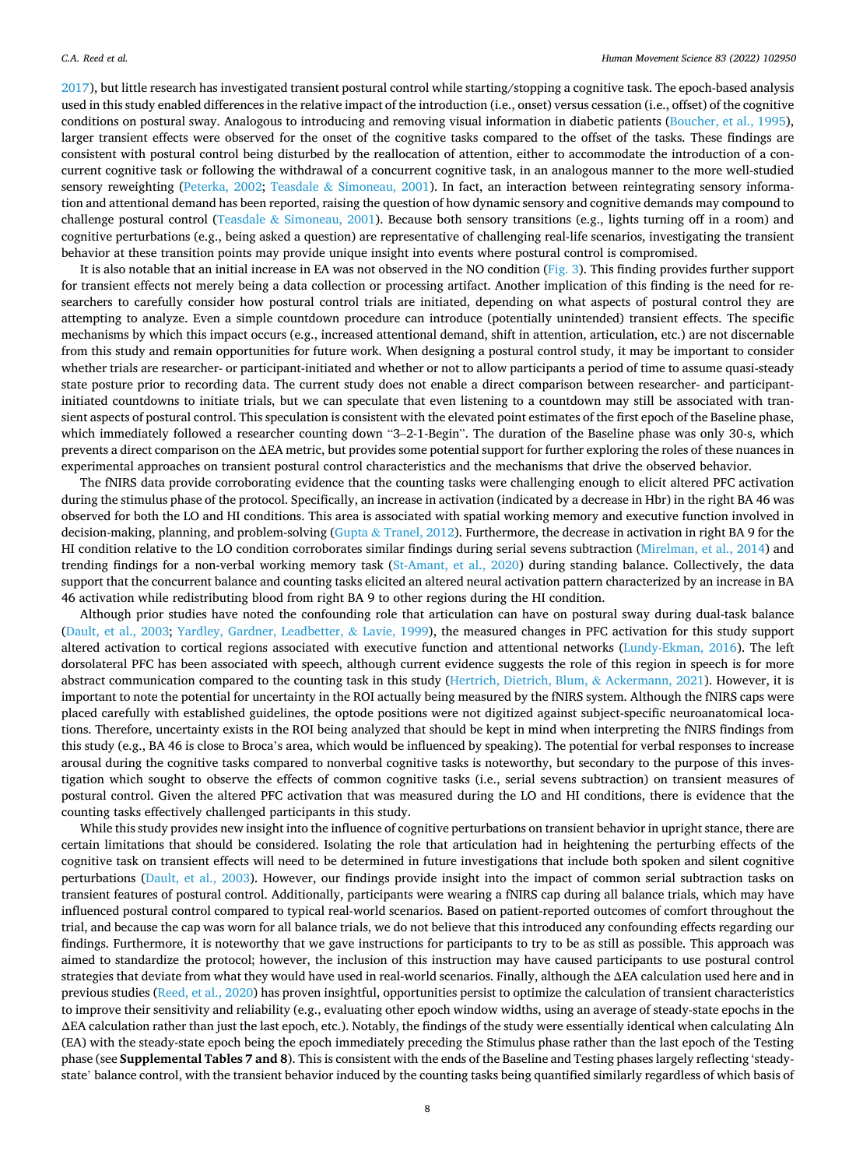[2017\)](#page-8-0), but little research has investigated transient postural control while starting/stopping a cognitive task. The epoch-based analysis used in this study enabled differences in the relative impact of the introduction (i.e., onset) versus cessation (i.e., offset) of the cognitive conditions on postural sway. Analogous to introducing and removing visual information in diabetic patients [\(Boucher, et al., 1995](#page-8-0)), larger transient effects were observed for the onset of the cognitive tasks compared to the offset of the tasks. These findings are consistent with postural control being disturbed by the reallocation of attention, either to accommodate the introduction of a concurrent cognitive task or following the withdrawal of a concurrent cognitive task, in an analogous manner to the more well-studied sensory reweighting ([Peterka, 2002;](#page-9-0) Teasdale & [Simoneau, 2001](#page-9-0)). In fact, an interaction between reintegrating sensory information and attentional demand has been reported, raising the question of how dynamic sensory and cognitive demands may compound to challenge postural control (Teasdale & [Simoneau, 2001\)](#page-9-0). Because both sensory transitions (e.g., lights turning off in a room) and cognitive perturbations (e.g., being asked a question) are representative of challenging real-life scenarios, investigating the transient behavior at these transition points may provide unique insight into events where postural control is compromised.

It is also notable that an initial increase in EA was not observed in the NO condition ([Fig. 3](#page-6-0)). This finding provides further support for transient effects not merely being a data collection or processing artifact. Another implication of this finding is the need for researchers to carefully consider how postural control trials are initiated, depending on what aspects of postural control they are attempting to analyze. Even a simple countdown procedure can introduce (potentially unintended) transient effects. The specific mechanisms by which this impact occurs (e.g., increased attentional demand, shift in attention, articulation, etc.) are not discernable from this study and remain opportunities for future work. When designing a postural control study, it may be important to consider whether trials are researcher- or participant-initiated and whether or not to allow participants a period of time to assume quasi-steady state posture prior to recording data. The current study does not enable a direct comparison between researcher- and participantinitiated countdowns to initiate trials, but we can speculate that even listening to a countdown may still be associated with transient aspects of postural control. This speculation is consistent with the elevated point estimates of the first epoch of the Baseline phase, which immediately followed a researcher counting down "3–2-1-Begin". The duration of the Baseline phase was only 30-s, which prevents a direct comparison on the ΔEA metric, but provides some potential support for further exploring the roles of these nuances in experimental approaches on transient postural control characteristics and the mechanisms that drive the observed behavior.

The fNIRS data provide corroborating evidence that the counting tasks were challenging enough to elicit altered PFC activation during the stimulus phase of the protocol. Specifically, an increase in activation (indicated by a decrease in Hbr) in the right BA 46 was observed for both the LO and HI conditions. This area is associated with spatial working memory and executive function involved in decision-making, planning, and problem-solving (Gupta & [Tranel, 2012](#page-8-0)). Furthermore, the decrease in activation in right BA 9 for the HI condition relative to the LO condition corroborates similar findings during serial sevens subtraction ([Mirelman, et al., 2014\)](#page-9-0) and trending findings for a non-verbal working memory task [\(St-Amant, et al., 2020](#page-9-0)) during standing balance. Collectively, the data support that the concurrent balance and counting tasks elicited an altered neural activation pattern characterized by an increase in BA 46 activation while redistributing blood from right BA 9 to other regions during the HI condition.

Although prior studies have noted the confounding role that articulation can have on postural sway during dual-task balance [\(Dault, et al., 2003;](#page-8-0) [Yardley, Gardner, Leadbetter,](#page-9-0) & Lavie, 1999), the measured changes in PFC activation for this study support altered activation to cortical regions associated with executive function and attentional networks ([Lundy-Ekman, 2016\)](#page-9-0). The left dorsolateral PFC has been associated with speech, although current evidence suggests the role of this region in speech is for more abstract communication compared to the counting task in this study [\(Hertrich, Dietrich, Blum,](#page-8-0) & Ackermann, 2021). However, it is important to note the potential for uncertainty in the ROI actually being measured by the fNIRS system. Although the fNIRS caps were placed carefully with established guidelines, the optode positions were not digitized against subject-specific neuroanatomical locations. Therefore, uncertainty exists in the ROI being analyzed that should be kept in mind when interpreting the fNIRS findings from this study (e.g., BA 46 is close to Broca's area, which would be influenced by speaking). The potential for verbal responses to increase arousal during the cognitive tasks compared to nonverbal cognitive tasks is noteworthy, but secondary to the purpose of this investigation which sought to observe the effects of common cognitive tasks (i.e., serial sevens subtraction) on transient measures of postural control. Given the altered PFC activation that was measured during the LO and HI conditions, there is evidence that the counting tasks effectively challenged participants in this study.

While this study provides new insight into the influence of cognitive perturbations on transient behavior in upright stance, there are certain limitations that should be considered. Isolating the role that articulation had in heightening the perturbing effects of the cognitive task on transient effects will need to be determined in future investigations that include both spoken and silent cognitive perturbations ([Dault, et al., 2003\)](#page-8-0). However, our findings provide insight into the impact of common serial subtraction tasks on transient features of postural control. Additionally, participants were wearing a fNIRS cap during all balance trials, which may have influenced postural control compared to typical real-world scenarios. Based on patient-reported outcomes of comfort throughout the trial, and because the cap was worn for all balance trials, we do not believe that this introduced any confounding effects regarding our findings. Furthermore, it is noteworthy that we gave instructions for participants to try to be as still as possible. This approach was aimed to standardize the protocol; however, the inclusion of this instruction may have caused participants to use postural control strategies that deviate from what they would have used in real-world scenarios. Finally, although the ΔEA calculation used here and in previous studies [\(Reed, et al., 2020](#page-9-0)) has proven insightful, opportunities persist to optimize the calculation of transient characteristics to improve their sensitivity and reliability (e.g., evaluating other epoch window widths, using an average of steady-state epochs in the ΔEA calculation rather than just the last epoch, etc.). Notably, the findings of the study were essentially identical when calculating Δln (EA) with the steady-state epoch being the epoch immediately preceding the Stimulus phase rather than the last epoch of the Testing phase (see **Supplemental Tables 7 and 8**). This is consistent with the ends of the Baseline and Testing phases largely reflecting 'steadystate' balance control, with the transient behavior induced by the counting tasks being quantified similarly regardless of which basis of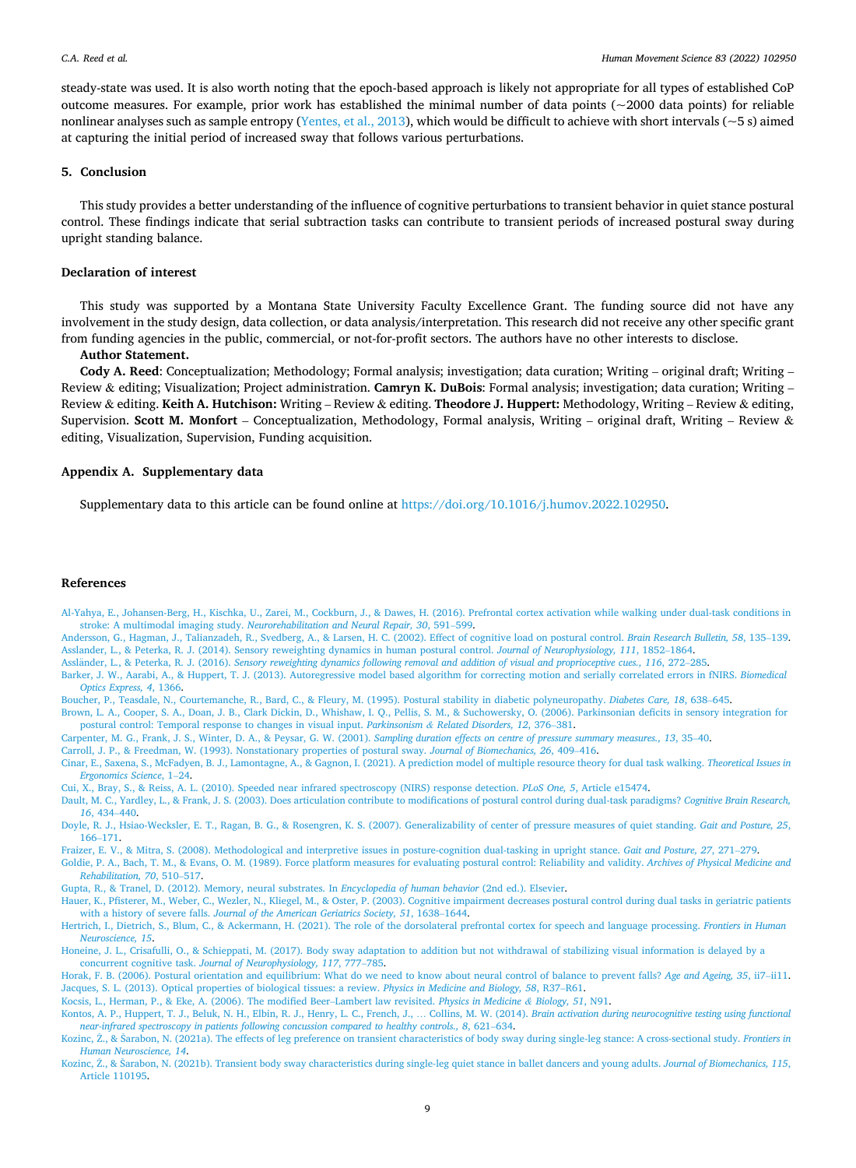<span id="page-8-0"></span>steady-state was used. It is also worth noting that the epoch-based approach is likely not appropriate for all types of established CoP outcome measures. For example, prior work has established the minimal number of data points ( $\sim$ 2000 data points) for reliable nonlinear analyses such as sample entropy ([Yentes, et al., 2013\)](#page-9-0), which would be difficult to achieve with short intervals ( $\sim$ 5 s) aimed at capturing the initial period of increased sway that follows various perturbations.

# **5. Conclusion**

This study provides a better understanding of the influence of cognitive perturbations to transient behavior in quiet stance postural control. These findings indicate that serial subtraction tasks can contribute to transient periods of increased postural sway during upright standing balance.

## **Declaration of interest**

This study was supported by a Montana State University Faculty Excellence Grant. The funding source did not have any involvement in the study design, data collection, or data analysis/interpretation. This research did not receive any other specific grant from funding agencies in the public, commercial, or not-for-profit sectors. The authors have no other interests to disclose.

# **Author Statement.**

**Cody A. Reed**: Conceptualization; Methodology; Formal analysis; investigation; data curation; Writing – original draft; Writing – Review & editing; Visualization; Project administration. **Camryn K. DuBois**: Formal analysis; investigation; data curation; Writing – Review & editing. **Keith A. Hutchison:** Writing – Review & editing. **Theodore J. Huppert:** Methodology, Writing – Review & editing, Supervision. **Scott M. Monfort** – Conceptualization, Methodology, Formal analysis, Writing – original draft, Writing – Review & editing, Visualization, Supervision, Funding acquisition.

# **Appendix A. Supplementary data**

Supplementary data to this article can be found online at [https://doi.org/10.1016/j.humov.2022.102950.](https://doi.org/10.1016/j.humov.2022.102950)

#### **References**

[Al-Yahya, E., Johansen-Berg, H., Kischka, U., Zarei, M., Cockburn, J., & Dawes, H. \(2016\). Prefrontal cortex activation while walking under dual-task conditions in](http://refhub.elsevier.com/S0167-9457(22)00030-6/rf0005) stroke: A multimodal imaging study. *[Neurorehabilitation and Neural Repair, 30](http://refhub.elsevier.com/S0167-9457(22)00030-6/rf0005)*, 591–599.

[Andersson, G., Hagman, J., Talianzadeh, R., Svedberg, A., & Larsen, H. C. \(2002\). Effect of cognitive load on postural control.](http://refhub.elsevier.com/S0167-9457(22)00030-6/rf0010) *Brain Research Bulletin, 58*, 135–139. [Asslander, L., & Peterka, R. J. \(2014\). Sensory reweighting dynamics in human postural control.](http://refhub.elsevier.com/S0167-9457(22)00030-6/rf0015) *Journal of Neurophysiology, 111*, 1852–1864.

Assländer, L., & Peterka, R. J. (2016). [Sensory reweighting dynamics following removal and addition of visual and proprioceptive cues., 116](http://refhub.elsevier.com/S0167-9457(22)00030-6/rf0020), 272-285.

[Barker, J. W., Aarabi, A., & Huppert, T. J. \(2013\). Autoregressive model based algorithm for correcting motion and serially correlated errors in fNIRS.](http://refhub.elsevier.com/S0167-9457(22)00030-6/rf0025) *Biomedical [Optics Express, 4](http://refhub.elsevier.com/S0167-9457(22)00030-6/rf0025)*, 1366.

[Boucher, P., Teasdale, N., Courtemanche, R., Bard, C., & Fleury, M. \(1995\). Postural stability in diabetic polyneuropathy.](http://refhub.elsevier.com/S0167-9457(22)00030-6/rf0030) *Diabetes Care, 18*, 638–645.

[Brown, L. A., Cooper, S. A., Doan, J. B., Clark Dickin, D., Whishaw, I. Q., Pellis, S. M., & Suchowersky, O. \(2006\). Parkinsonian deficits in sensory integration for](http://refhub.elsevier.com/S0167-9457(22)00030-6/rf0035) [postural control: Temporal response to changes in visual input.](http://refhub.elsevier.com/S0167-9457(22)00030-6/rf0035) *Parkinsonism & Related Disorders, 12*, 376–381.

[Carpenter, M. G., Frank, J. S., Winter, D. A., & Peysar, G. W. \(2001\).](http://refhub.elsevier.com/S0167-9457(22)00030-6/rf0040) *Sampling duration effects on centre of pressure summary measures., 13*, 35–40.

[Carroll, J. P., & Freedman, W. \(1993\). Nonstationary properties of postural sway.](http://refhub.elsevier.com/S0167-9457(22)00030-6/rf0045) *Journal of Biomechanics, 26*, 409–416.

[Cinar, E., Saxena, S., McFadyen, B. J., Lamontagne, A., & Gagnon, I. \(2021\). A prediction model of multiple resource theory for dual task walking.](http://refhub.elsevier.com/S0167-9457(22)00030-6/rf0050) *Theoretical Issues in [Ergonomics Science](http://refhub.elsevier.com/S0167-9457(22)00030-6/rf0050)*, 1–24.

[Cui, X., Bray, S., & Reiss, A. L. \(2010\). Speeded near infrared spectroscopy \(NIRS\) response detection.](http://refhub.elsevier.com/S0167-9457(22)00030-6/rf0055) *PLoS One, 5*, Article e15474.

[Dault, M. C., Yardley, L., & Frank, J. S. \(2003\). Does articulation contribute to modifications of postural control during dual-task paradigms?](http://refhub.elsevier.com/S0167-9457(22)00030-6/rf0060) *Cognitive Brain Research, 16*[, 434](http://refhub.elsevier.com/S0167-9457(22)00030-6/rf0060)–440.

[Doyle, R. J., Hsiao-Wecksler, E. T., Ragan, B. G., & Rosengren, K. S. \(2007\). Generalizability of center of pressure measures of quiet standing.](http://refhub.elsevier.com/S0167-9457(22)00030-6/rf0065) *Gait and Posture, 25*, 166–[171.](http://refhub.elsevier.com/S0167-9457(22)00030-6/rf0065)

[Fraizer, E. V., & Mitra, S. \(2008\). Methodological and interpretive issues in posture-cognition dual-tasking in upright stance.](http://refhub.elsevier.com/S0167-9457(22)00030-6/rf0070) *Gait and Posture, 27*, 271–279.

[Goldie, P. A., Bach, T. M., & Evans, O. M. \(1989\). Force platform measures for evaluating postural control: Reliability and validity.](http://refhub.elsevier.com/S0167-9457(22)00030-6/rf0075) *Archives of Physical Medicine and [Rehabilitation, 70](http://refhub.elsevier.com/S0167-9457(22)00030-6/rf0075)*, 510–517.

[Gupta, R., & Tranel, D. \(2012\). Memory, neural substrates. In](http://refhub.elsevier.com/S0167-9457(22)00030-6/rf0080) *Encyclopedia of human behavior* (2nd ed.). Elsevier.

[Hauer, K., Pfisterer, M., Weber, C., Wezler, N., Kliegel, M., & Oster, P. \(2003\). Cognitive impairment decreases postural control during dual tasks in geriatric patients](http://refhub.elsevier.com/S0167-9457(22)00030-6/rf0085) with a history of severe falls. *[Journal of the American Geriatrics Society, 51](http://refhub.elsevier.com/S0167-9457(22)00030-6/rf0085)*, 1638–1644.

[Hertrich, I., Dietrich, S., Blum, C., & Ackermann, H. \(2021\). The role of the dorsolateral prefrontal cortex for speech and language processing.](http://refhub.elsevier.com/S0167-9457(22)00030-6/rf0090) *Frontiers in Human [Neuroscience, 15](http://refhub.elsevier.com/S0167-9457(22)00030-6/rf0090)*.

[Honeine, J. L., Crisafulli, O., & Schieppati, M. \(2017\). Body sway adaptation to addition but not withdrawal of stabilizing visual information is delayed by a](http://refhub.elsevier.com/S0167-9457(22)00030-6/rf0095)  concurrent cognitive task. *[Journal of Neurophysiology, 117](http://refhub.elsevier.com/S0167-9457(22)00030-6/rf0095)*, 777–785.

[Horak, F. B. \(2006\). Postural orientation and equilibrium: What do we need to know about neural control of balance to prevent falls?](http://refhub.elsevier.com/S0167-9457(22)00030-6/rf0100) *Age and Ageing, 35*, ii7–ii11. [Jacques, S. L. \(2013\). Optical properties of biological tissues: a review.](http://refhub.elsevier.com/S0167-9457(22)00030-6/rf0105) *Physics in Medicine and Biology, 58*, R37–R61.

[Kocsis, L., Herman, P., & Eke, A. \(2006\). The modified Beer](http://refhub.elsevier.com/S0167-9457(22)00030-6/rf0110)–Lambert law revisited. *Physics in Medicine & Biology, 51*, N91.

- [Kontos, A. P., Huppert, T. J., Beluk, N. H., Elbin, R. J., Henry, L. C., French, J.,](http://refhub.elsevier.com/S0167-9457(22)00030-6/rf0115) ... Collins, M. W. (2014). *Brain activation during neurocognitive testing using functional [near-infrared spectroscopy in patients following concussion compared to healthy controls., 8](http://refhub.elsevier.com/S0167-9457(22)00030-6/rf0115)*, 621–634.
- Kozinc, Ž., & Šarabon, [N. \(2021a\). The effects of leg preference on transient characteristics of body sway during single-leg stance: A cross-sectional study.](http://refhub.elsevier.com/S0167-9457(22)00030-6/rf0120) *Frontiers in [Human Neuroscience, 14](http://refhub.elsevier.com/S0167-9457(22)00030-6/rf0120)*.
- Kozinc, Ž., & Šarabon, [N. \(2021b\). Transient body sway characteristics during single-leg quiet stance in ballet dancers and young adults.](http://refhub.elsevier.com/S0167-9457(22)00030-6/rf0125) *Journal of Biomechanics*, 115, [Article 110195](http://refhub.elsevier.com/S0167-9457(22)00030-6/rf0125).